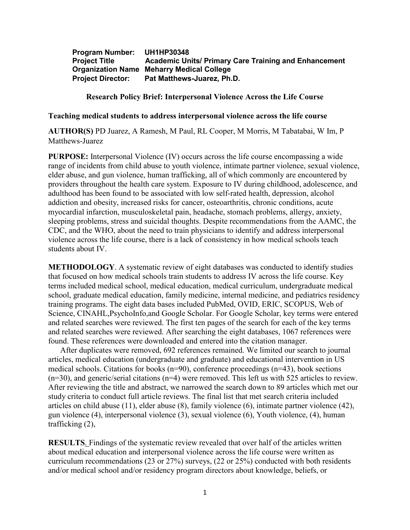**Program Number: UH1HP30348 Academic Units/ Primary Care Training and Enhancement Organization Name Meharry Medical College Project Director: Pat Matthews-Juarez, Ph.D.**

**Research Policy Brief: Interpersonal Violence Across the Life Course**

**Teaching medical students to address interpersonal violence across the life course**

**AUTHOR(S)** PD Juarez, A Ramesh, M Paul, RL Cooper, M Morris, M Tabatabai, W Im, P Matthews-Juarez

**PURPOSE:** Interpersonal Violence (IV) occurs across the life course encompassing a wide range of incidents from child abuse to youth violence, intimate partner violence, sexual violence, elder abuse, and gun violence, human trafficking, all of which commonly are encountered by providers throughout the health care system. Exposure to IV during childhood, adolescence, and adulthood has been found to be associated with low self-rated health, depression, alcohol addiction and obesity, increased risks for cancer, osteoarthritis, chronic conditions, acute myocardial infarction, musculoskeletal pain, headache, stomach problems, allergy, anxiety, sleeping problems, stress and suicidal thoughts. Despite recommendations from the AAMC, the CDC, and the WHO, about the need to train physicians to identify and address interpersonal violence across the life course, there is a lack of consistency in how medical schools teach students about IV.

**METHODOLOGY**. A systematic review of eight databases was conducted to identify studies that focused on how medical schools train students to address IV across the life course. Key terms included medical school, medical education, medical curriculum, undergraduate medical school, graduate medical education, family medicine, internal medicine, and pediatrics residency training programs. The eight data bases included PubMed, OVID, ERIC, SCOPUS, Web of Science, CINAHL,PsychoInfo,and Google Scholar. For Google Scholar, key terms were entered and related searches were reviewed. The first ten pages of the search for each of the key terms and related searches were reviewed. After searching the eight databases, 1067 references were found. These references were downloaded and entered into the citation manager.

After duplicates were removed, 692 references remained. We limited our search to journal articles, medical education (undergraduate and graduate) and educational intervention in US medical schools. Citations for books  $(n=90)$ , conference proceedings  $(n=43)$ , book sections (n=30), and generic/serial citations (n=4) were removed. This left us with 525 articles to review. After reviewing the title and abstract, we narrowed the search down to 89 articles which met our study criteria to conduct full article reviews. The final list that met search criteria included articles on child abuse (11), elder abuse (8), family violence (6), intimate partner violence (42), gun violence (4), interpersonal violence (3), sexual violence (6), Youth violence, (4), human trafficking (2),

**RESULTS**. Findings of the systematic review revealed that over half of the articles written about medical education and interpersonal violence across the life course were written as curriculum recommendations (23 or 27%) surveys, (22 or 25%) conducted with both residents and/or medical school and/or residency program directors about knowledge, beliefs, or